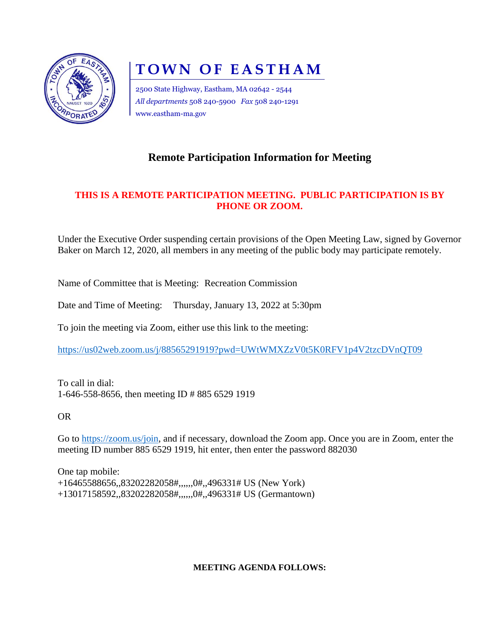

# **TOWN OF EASTHAM**

2500 State Highway, Eastham, MA 02642 - 2544 *All departments* 508 240-5900 *Fax* 508 240-1291 www.eastham-ma.gov

## **Remote Participation Information for Meeting**

### **THIS IS A REMOTE PARTICIPATION MEETING. PUBLIC PARTICIPATION IS BY PHONE OR ZOOM.**

Under the Executive Order suspending certain provisions of the Open Meeting Law, signed by Governor Baker on March 12, 2020, all members in any meeting of the public body may participate remotely.

Name of Committee that is Meeting: Recreation Commission

Date and Time of Meeting: Thursday, January 13, 2022 at 5:30pm

To join the meeting via Zoom, either use this link to the meeting:

<https://us02web.zoom.us/j/88565291919?pwd=UWtWMXZzV0t5K0RFV1p4V2tzcDVnQT09>

To call in dial: 1-646-558-8656, then meeting ID # 885 6529 1919

OR

Go to [https://zoom.us/join,](https://zoom.us/join) and if necessary, download the Zoom app. Once you are in Zoom, enter the meeting ID number 885 6529 1919, hit enter, then enter the password 882030

One tap mobile: +16465588656,,83202282058#,,,,,,0#,,496331# US (New York) +13017158592,,83202282058#,,,,,,0#,,496331# US (Germantown)

#### **MEETING AGENDA FOLLOWS:**